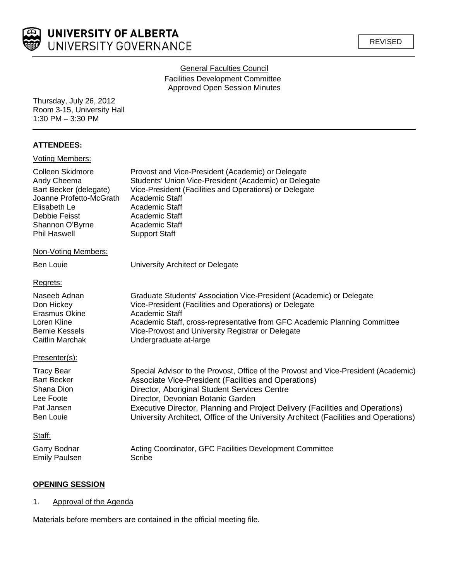

## **General Faculties Council**

Facilities Development Committee Approved Open Session Minutes

Thursday, July 26, 2012 Room 3-15, University Hall 1:30 PM – 3:30 PM

# **ATTENDEES:**

| <b>Voting Members:</b>                                                                                                                                          |                                                                                                                                                                                                                                                                                                                                                                                                           |
|-----------------------------------------------------------------------------------------------------------------------------------------------------------------|-----------------------------------------------------------------------------------------------------------------------------------------------------------------------------------------------------------------------------------------------------------------------------------------------------------------------------------------------------------------------------------------------------------|
| Colleen Skidmore<br>Andy Cheema<br>Bart Becker (delegate)<br>Joanne Profetto-McGrath<br>Elisabeth Le<br>Debbie Feisst<br>Shannon O'Byrne<br><b>Phil Haswell</b> | Provost and Vice-President (Academic) or Delegate<br>Students' Union Vice-President (Academic) or Delegate<br>Vice-President (Facilities and Operations) or Delegate<br>Academic Staff<br>Academic Staff<br>Academic Staff<br>Academic Staff<br><b>Support Staff</b>                                                                                                                                      |
| Non-Voting Members:                                                                                                                                             |                                                                                                                                                                                                                                                                                                                                                                                                           |
| <b>Ben Louie</b>                                                                                                                                                | University Architect or Delegate                                                                                                                                                                                                                                                                                                                                                                          |
| Regrets:                                                                                                                                                        |                                                                                                                                                                                                                                                                                                                                                                                                           |
| Naseeb Adnan<br>Don Hickey<br><b>Erasmus Okine</b><br>Loren Kline<br><b>Bernie Kessels</b><br>Caitlin Marchak                                                   | Graduate Students' Association Vice-President (Academic) or Delegate<br>Vice-President (Facilities and Operations) or Delegate<br>Academic Staff<br>Academic Staff, cross-representative from GFC Academic Planning Committee<br>Vice-Provost and University Registrar or Delegate<br>Undergraduate at-large                                                                                              |
| Presenter(s):                                                                                                                                                   |                                                                                                                                                                                                                                                                                                                                                                                                           |
| <b>Tracy Bear</b><br><b>Bart Becker</b><br>Shana Dion<br>Lee Foote<br>Pat Jansen<br><b>Ben Louie</b>                                                            | Special Advisor to the Provost, Office of the Provost and Vice-President (Academic)<br>Associate Vice-President (Facilities and Operations)<br>Director, Aboriginal Student Services Centre<br>Director, Devonian Botanic Garden<br>Executive Director, Planning and Project Delivery (Facilities and Operations)<br>University Architect, Office of the University Architect (Facilities and Operations) |
| Staff:                                                                                                                                                          |                                                                                                                                                                                                                                                                                                                                                                                                           |
| Garry Bodnar<br><b>Emily Paulsen</b>                                                                                                                            | Acting Coordinator, GFC Facilities Development Committee<br>Scribe                                                                                                                                                                                                                                                                                                                                        |

# **OPENING SESSION**

1. Approval of the Agenda

Materials before members are contained in the official meeting file.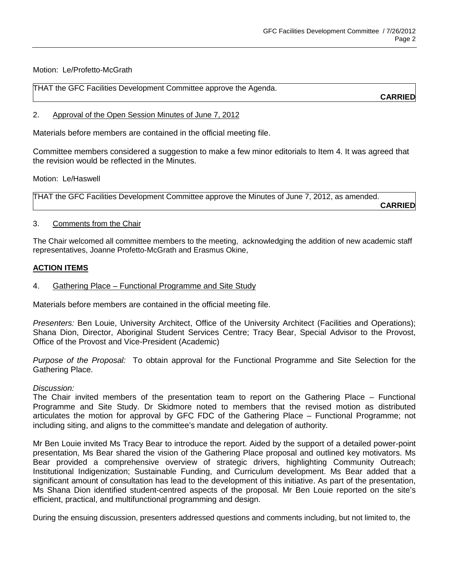Motion: Le/Profetto-McGrath

| THAT the GFC Facilities Development Committee approve the Agenda. |           |
|-------------------------------------------------------------------|-----------|
|                                                                   | --------- |

**CARRIED**

#### 2. Approval of the Open Session Minutes of June 7, 2012

Materials before members are contained in the official meeting file.

Committee members considered a suggestion to make a few minor editorials to Item 4. It was agreed that the revision would be reflected in the Minutes.

Motion: Le/Haswell

THAT the GFC Facilities Development Committee approve the Minutes of June 7, 2012, as amended. **CARRIED**

### 3. Comments from the Chair

The Chair welcomed all committee members to the meeting, acknowledging the addition of new academic staff representatives, Joanne Profetto-McGrath and Erasmus Okine,

### **ACTION ITEMS**

### 4. Gathering Place – Functional Programme and Site Study

Materials before members are contained in the official meeting file.

*Presenters:* Ben Louie, University Architect, Office of the University Architect (Facilities and Operations); Shana Dion, Director, Aboriginal Student Services Centre; Tracy Bear, Special Advisor to the Provost, Office of the Provost and Vice-President (Academic)

*Purpose of the Proposal:* To obtain approval for the Functional Programme and Site Selection for the Gathering Place.

### *Discussion:*

The Chair invited members of the presentation team to report on the Gathering Place – Functional Programme and Site Study. Dr Skidmore noted to members that the revised motion as distributed articulates the motion for approval by GFC FDC of the Gathering Place – Functional Programme; not including siting, and aligns to the committee's mandate and delegation of authority.

Mr Ben Louie invited Ms Tracy Bear to introduce the report. Aided by the support of a detailed power-point presentation, Ms Bear shared the vision of the Gathering Place proposal and outlined key motivators. Ms Bear provided a comprehensive overview of strategic drivers, highlighting Community Outreach; Institutional Indigenization; Sustainable Funding, and Curriculum development. Ms Bear added that a significant amount of consultation has lead to the development of this initiative. As part of the presentation, Ms Shana Dion identified student-centred aspects of the proposal. Mr Ben Louie reported on the site's efficient, practical, and multifunctional programming and design.

During the ensuing discussion, presenters addressed questions and comments including, but not limited to, the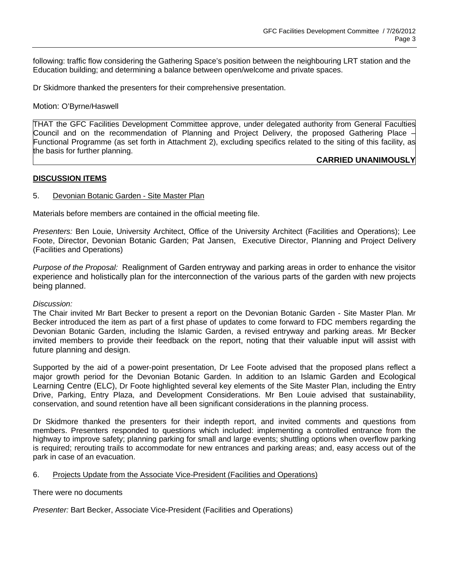following: traffic flow considering the Gathering Space's position between the neighbouring LRT station and the Education building; and determining a balance between open/welcome and private spaces.

Dr Skidmore thanked the presenters for their comprehensive presentation.

#### Motion: O'Byrne/Haswell

THAT the GFC Facilities Development Committee approve, under delegated authority from General Faculties Council and on the recommendation of Planning and Project Delivery, the proposed Gathering Place – Functional Programme (as set forth in Attachment 2), excluding specifics related to the siting of this facility, as the basis for further planning.

### **CARRIED UNANIMOUSLY**

### **DISCUSSION ITEMS**

#### 5. Devonian Botanic Garden - Site Master Plan

Materials before members are contained in the official meeting file.

*Presenters:* Ben Louie, University Architect, Office of the University Architect (Facilities and Operations); Lee Foote, Director, Devonian Botanic Garden; Pat Jansen, Executive Director, Planning and Project Delivery (Facilities and Operations)

*Purpose of the Proposal:* Realignment of Garden entryway and parking areas in order to enhance the visitor experience and holistically plan for the interconnection of the various parts of the garden with new projects being planned.

#### *Discussion:*

The Chair invited Mr Bart Becker to present a report on the Devonian Botanic Garden - Site Master Plan. Mr Becker introduced the item as part of a first phase of updates to come forward to FDC members regarding the Devonian Botanic Garden, including the Islamic Garden, a revised entryway and parking areas. Mr Becker invited members to provide their feedback on the report, noting that their valuable input will assist with future planning and design.

Supported by the aid of a power-point presentation, Dr Lee Foote advised that the proposed plans reflect a major growth period for the Devonian Botanic Garden. In addition to an Islamic Garden and Ecological Learning Centre (ELC), Dr Foote highlighted several key elements of the Site Master Plan, including the Entry Drive, Parking, Entry Plaza, and Development Considerations. Mr Ben Louie advised that sustainability, conservation, and sound retention have all been significant considerations in the planning process.

Dr Skidmore thanked the presenters for their indepth report, and invited comments and questions from members. Presenters responded to questions which included: implementing a controlled entrance from the highway to improve safety; planning parking for small and large events; shuttling options when overflow parking is required; rerouting trails to accommodate for new entrances and parking areas; and, easy access out of the park in case of an evacuation.

### 6. Projects Update from the Associate Vice-President (Facilities and Operations)

There were no documents

*Presenter:* Bart Becker, Associate Vice-President (Facilities and Operations)